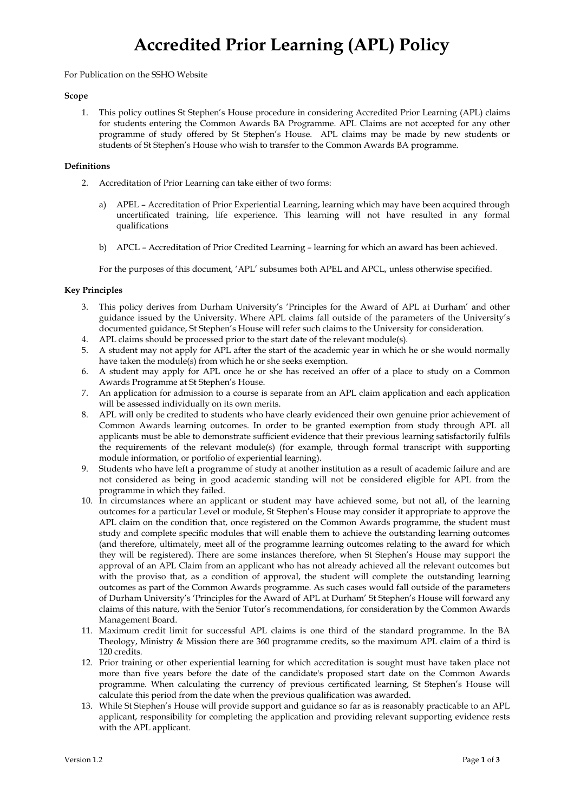# **Accredited Prior Learning (APL) Policy**

### For Publication on the SSHO Website

#### **Scope**

1. This policy outlines St Stephen's House procedure in considering Accredited Prior Learning (APL) claims for students entering the Common Awards BA Programme. APL Claims are not accepted for any other programme of study offered by St Stephen's House. APL claims may be made by new students or students of St Stephen's House who wish to transfer to the Common Awards BA programme.

### **Definitions**

- 2. Accreditation of Prior Learning can take either of two forms:
	- a) APEL Accreditation of Prior Experiential Learning, learning which may have been acquired through uncertificated training, life experience. This learning will not have resulted in any formal qualifications
	- b) APCL Accreditation of Prior Credited Learning learning for which an award has been achieved.

For the purposes of this document, 'APL' subsumes both APEL and APCL, unless otherwise specified.

# **Key Principles**

- 3. This policy derives from Durham University's 'Principles for the Award of APL at Durham' and other guidance issued by the University. Where APL claims fall outside of the parameters of the University's documented guidance, St Stephen's House will refer such claims to the University for consideration.
- 4. APL claims should be processed prior to the start date of the relevant module(s).
- 5. A student may not apply for APL after the start of the academic year in which he or she would normally have taken the module(s) from which he or she seeks exemption.
- 6. A student may apply for APL once he or she has received an offer of a place to study on a Common Awards Programme at St Stephen's House.
- 7. An application for admission to a course is separate from an APL claim application and each application will be assessed individually on its own merits.
- 8. APL will only be credited to students who have clearly evidenced their own genuine prior achievement of Common Awards learning outcomes. In order to be granted exemption from study through APL all applicants must be able to demonstrate sufficient evidence that their previous learning satisfactorily fulfils the requirements of the relevant module(s) (for example, through formal transcript with supporting module information, or portfolio of experiential learning).
- 9. Students who have left a programme of study at another institution as a result of academic failure and are not considered as being in good academic standing will not be considered eligible for APL from the programme in which they failed.
- 10. In circumstances where an applicant or student may have achieved some, but not all, of the learning outcomes for a particular Level or module, St Stephen's House may consider it appropriate to approve the APL claim on the condition that, once registered on the Common Awards programme, the student must study and complete specific modules that will enable them to achieve the outstanding learning outcomes (and therefore, ultimately, meet all of the programme learning outcomes relating to the award for which they will be registered). There are some instances therefore, when St Stephen's House may support the approval of an APL Claim from an applicant who has not already achieved all the relevant outcomes but with the proviso that, as a condition of approval, the student will complete the outstanding learning outcomes as part of the Common Awards programme. As such cases would fall outside of the parameters of Durham University's 'Principles for the Award of APL at Durham' St Stephen's House will forward any claims of this nature, with the Senior Tutor's recommendations, for consideration by the Common Awards Management Board.
- 11. Maximum credit limit for successful APL claims is one third of the standard programme. In the BA Theology, Ministry & Mission there are 360 programme credits, so the maximum APL claim of a third is 120 credits.
- 12. Prior training or other experiential learning for which accreditation is sought must have taken place not more than five years before the date of the candidate's proposed start date on the Common Awards programme. When calculating the currency of previous certificated learning, St Stephen's House will calculate this period from the date when the previous qualification was awarded.
- 13. While St Stephen's House will provide support and guidance so far as is reasonably practicable to an APL applicant, responsibility for completing the application and providing relevant supporting evidence rests with the APL applicant.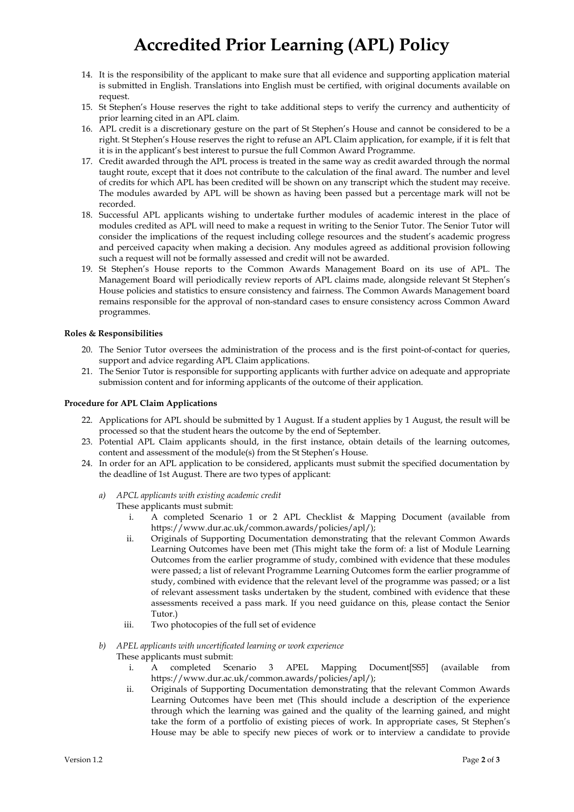# **Accredited Prior Learning (APL) Policy**

- 14. It is the responsibility of the applicant to make sure that all evidence and supporting application material is submitted in English. Translations into English must be certified, with original documents available on request.
- 15. St Stephen's House reserves the right to take additional steps to verify the currency and authenticity of prior learning cited in an APL claim.
- 16. APL credit is a discretionary gesture on the part of St Stephen's House and cannot be considered to be a right. St Stephen's House reserves the right to refuse an APL Claim application, for example, if it is felt that it is in the applicant's best interest to pursue the full Common Award Programme.
- 17. Credit awarded through the APL process is treated in the same way as credit awarded through the normal taught route, except that it does not contribute to the calculation of the final award. The number and level of credits for which APL has been credited will be shown on any transcript which the student may receive. The modules awarded by APL will be shown as having been passed but a percentage mark will not be recorded.
- 18. Successful APL applicants wishing to undertake further modules of academic interest in the place of modules credited as APL will need to make a request in writing to the Senior Tutor. The Senior Tutor will consider the implications of the request including college resources and the student's academic progress and perceived capacity when making a decision. Any modules agreed as additional provision following such a request will not be formally assessed and credit will not be awarded.
- 19. St Stephen's House reports to the Common Awards Management Board on its use of APL. The Management Board will periodically review reports of APL claims made, alongside relevant St Stephen's House policies and statistics to ensure consistency and fairness. The Common Awards Management board remains responsible for the approval of non-standard cases to ensure consistency across Common Award programmes.

### **Roles & Responsibilities**

- 20. The Senior Tutor oversees the administration of the process and is the first point-of-contact for queries, support and advice regarding APL Claim applications.
- 21. The Senior Tutor is responsible for supporting applicants with further advice on adequate and appropriate submission content and for informing applicants of the outcome of their application.

### **Procedure for APL Claim Applications**

- 22. Applications for APL should be submitted by 1 August. If a student applies by 1 August, the result will be processed so that the student hears the outcome by the end of September.
- 23. Potential APL Claim applicants should, in the first instance, obtain details of the learning outcomes, content and assessment of the module(s) from the St Stephen's House.
- 24. In order for an APL application to be considered, applicants must submit the specified documentation by the deadline of 1st August. There are two types of applicant:

## *a) APCL applicants with existing academic credit*

These applicants must submit:

- i. A completed Scenario 1 or 2 APL Checklist & Mapping Document (available from https://www.dur.ac.uk/common.awards/policies/apl/);
- ii. Originals of Supporting Documentation demonstrating that the relevant Common Awards Learning Outcomes have been met (This might take the form of: a list of Module Learning Outcomes from the earlier programme of study, combined with evidence that these modules were passed; a list of relevant Programme Learning Outcomes form the earlier programme of study, combined with evidence that the relevant level of the programme was passed; or a list of relevant assessment tasks undertaken by the student, combined with evidence that these assessments received a pass mark. If you need guidance on this, please contact the Senior Tutor.)
- iii. Two photocopies of the full set of evidence
- *b) APEL applicants with uncertificated learning or work experience*
	- These applicants must submit:
		- i. A completed Scenario 3 APEL Mapping Document[SS5] (available from https://www.dur.ac.uk/common.awards/policies/apl/);
		- ii. Originals of Supporting Documentation demonstrating that the relevant Common Awards Learning Outcomes have been met (This should include a description of the experience through which the learning was gained and the quality of the learning gained, and might take the form of a portfolio of existing pieces of work. In appropriate cases, St Stephen's House may be able to specify new pieces of work or to interview a candidate to provide